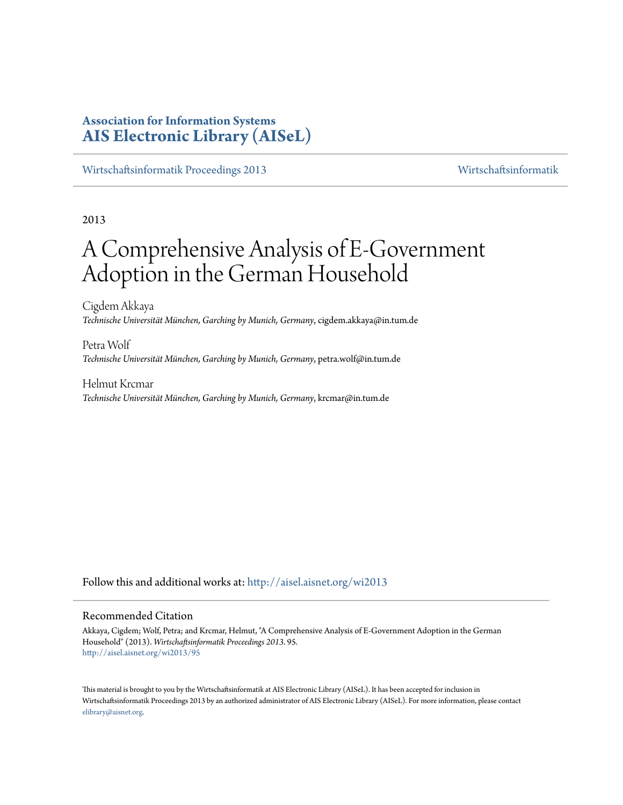# **Association for Information Systems [AIS Electronic Library \(AISeL\)](http://aisel.aisnet.org?utm_source=aisel.aisnet.org%2Fwi2013%2F95&utm_medium=PDF&utm_campaign=PDFCoverPages)**

[Wirtschaftsinformatik Proceedings 2013](http://aisel.aisnet.org/wi2013?utm_source=aisel.aisnet.org%2Fwi2013%2F95&utm_medium=PDF&utm_campaign=PDFCoverPages) [Wirtschaftsinformatik](http://aisel.aisnet.org/wi?utm_source=aisel.aisnet.org%2Fwi2013%2F95&utm_medium=PDF&utm_campaign=PDFCoverPages)

2013

# A Comprehensive Analysis of E-Government Adoption in the German Household

Cigdem Akkaya *Technische Universität München, Garching by Munich, Germany*, cigdem.akkaya@in.tum.de

Petra Wolf *Technische Universität München, Garching by Munich, Germany*, petra.wolf@in.tum.de

Helmut Krcmar *Technische Universität München, Garching by Munich, Germany*, krcmar@in.tum.de

Follow this and additional works at: [http://aisel.aisnet.org/wi2013](http://aisel.aisnet.org/wi2013?utm_source=aisel.aisnet.org%2Fwi2013%2F95&utm_medium=PDF&utm_campaign=PDFCoverPages)

### Recommended Citation

Akkaya, Cigdem; Wolf, Petra; and Krcmar, Helmut, "A Comprehensive Analysis of E-Government Adoption in the German Household" (2013). *Wirtschaftsinformatik Proceedings 2013*. 95. [http://aisel.aisnet.org/wi2013/95](http://aisel.aisnet.org/wi2013/95?utm_source=aisel.aisnet.org%2Fwi2013%2F95&utm_medium=PDF&utm_campaign=PDFCoverPages)

This material is brought to you by the Wirtschaftsinformatik at AIS Electronic Library (AISeL). It has been accepted for inclusion in Wirtschaftsinformatik Proceedings 2013 by an authorized administrator of AIS Electronic Library (AISeL). For more information, please contact [elibrary@aisnet.org.](mailto:elibrary@aisnet.org%3E)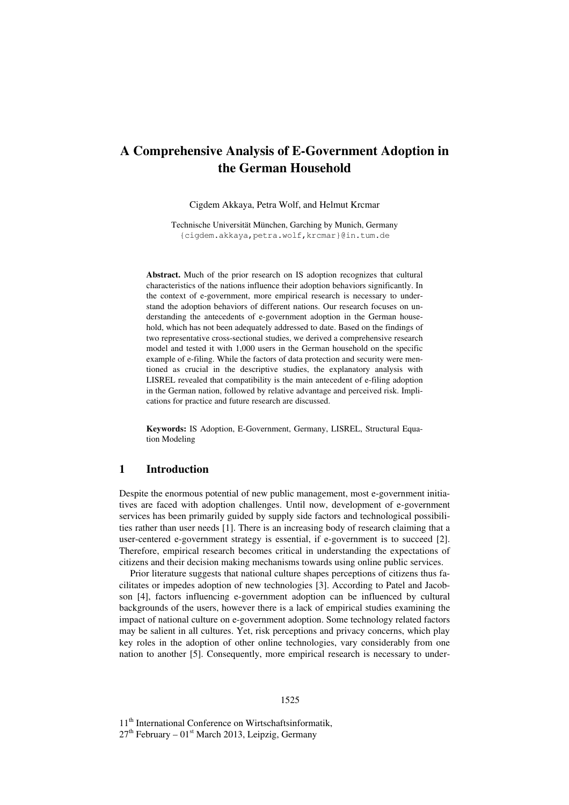# **A Comprehensive Analysis of E-Government Adoption in the German Household**

Cigdem Akkaya, Petra Wolf, and Helmut Krcmar

Technische Universität München, Garching by Munich, Germany {cigdem.akkaya,petra.wolf,krcmar}@in.tum.de

**Abstract.** Much of the prior research on IS adoption recognizes that cultural characteristics of the nations influence their adoption behaviors significantly. In the context of e-government, more empirical research is necessary to understand the adoption behaviors of different nations. Our research focuses on understanding the antecedents of e-government adoption in the German household, which has not been adequately addressed to date. Based on the findings of two representative cross-sectional studies, we derived a comprehensive research model and tested it with 1,000 users in the German household on the specific example of e-filing. While the factors of data protection and security were mentioned as crucial in the descriptive studies, the explanatory analysis with LISREL revealed that compatibility is the main antecedent of e-filing adoption in the German nation, followed by relative advantage and perceived risk. Implications for practice and future research are discussed.

**Keywords:** IS Adoption, E-Government, Germany, LISREL, Structural Equation Modeling

# **1 Introduction**

Despite the enormous potential of new public management, most e-government initiatives are faced with adoption challenges. Until now, development of e-government services has been primarily guided by supply side factors and technological possibilities rather than user needs [1]. There is an increasing body of research claiming that a user-centered e-government strategy is essential, if e-government is to succeed [2]. Therefore, empirical research becomes critical in understanding the expectations of citizens and their decision making mechanisms towards using online public services.

Prior literature suggests that national culture shapes perceptions of citizens thus facilitates or impedes adoption of new technologies [3]. According to Patel and Jacobson [4], factors influencing e-government adoption can be influenced by cultural backgrounds of the users, however there is a lack of empirical studies examining the impact of national culture on e-government adoption. Some technology related factors may be salient in all cultures. Yet, risk perceptions and privacy concerns, which play key roles in the adoption of other online technologies, vary considerably from one nation to another [5]. Consequently, more empirical research is necessary to under-

11<sup>th</sup> International Conference on Wirtschaftsinformatik,  $27<sup>th</sup>$  February –  $01<sup>st</sup>$  March 2013, Leipzig, Germany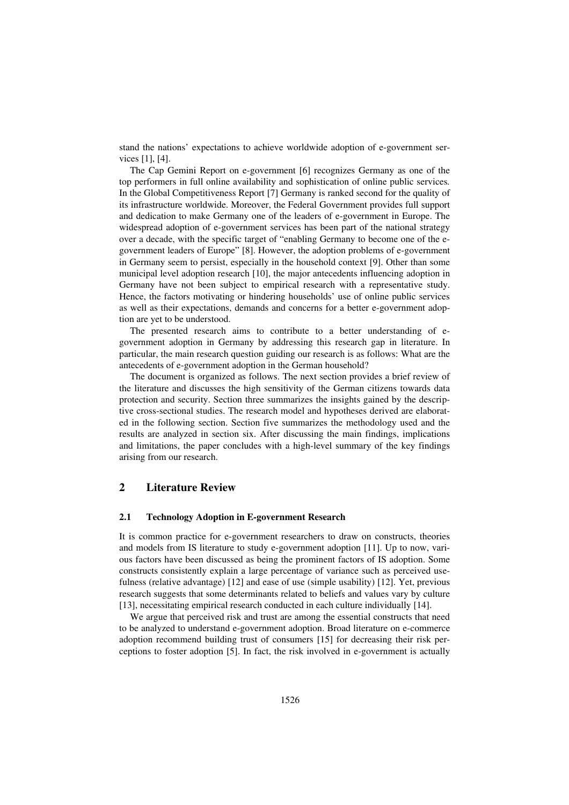stand the nations' expectations to achieve worldwide adoption of e-government services [1], [4].

The Cap Gemini Report on e-government [6] recognizes Germany as one of the top performers in full online availability and sophistication of online public services*.* In the Global Competitiveness Report [7] Germany is ranked second for the quality of its infrastructure worldwide. Moreover, the Federal Government provides full support and dedication to make Germany one of the leaders of e-government in Europe. The widespread adoption of e-government services has been part of the national strategy over a decade, with the specific target of "enabling Germany to become one of the egovernment leaders of Europe" [8]. However, the adoption problems of e-government in Germany seem to persist, especially in the household context [9]. Other than some municipal level adoption research [10], the major antecedents influencing adoption in Germany have not been subject to empirical research with a representative study. Hence, the factors motivating or hindering households' use of online public services as well as their expectations, demands and concerns for a better e-government adoption are yet to be understood.

The presented research aims to contribute to a better understanding of egovernment adoption in Germany by addressing this research gap in literature. In particular, the main research question guiding our research is as follows: What are the antecedents of e-government adoption in the German household?

The document is organized as follows. The next section provides a brief review of the literature and discusses the high sensitivity of the German citizens towards data protection and security. Section three summarizes the insights gained by the descriptive cross-sectional studies. The research model and hypotheses derived are elaborated in the following section. Section five summarizes the methodology used and the results are analyzed in section six. After discussing the main findings, implications and limitations, the paper concludes with a high-level summary of the key findings arising from our research.

# **2 Literature Review**

#### **2.1 Technology Adoption in E-government Research**

It is common practice for e-government researchers to draw on constructs, theories and models from IS literature to study e-government adoption [11]. Up to now, various factors have been discussed as being the prominent factors of IS adoption. Some constructs consistently explain a large percentage of variance such as perceived usefulness (relative advantage) [12] and ease of use (simple usability) [12]. Yet, previous research suggests that some determinants related to beliefs and values vary by culture [13], necessitating empirical research conducted in each culture individually [14].

We argue that perceived risk and trust are among the essential constructs that need to be analyzed to understand e-government adoption. Broad literature on e-commerce adoption recommend building trust of consumers [15] for decreasing their risk perceptions to foster adoption [5]. In fact, the risk involved in e-government is actually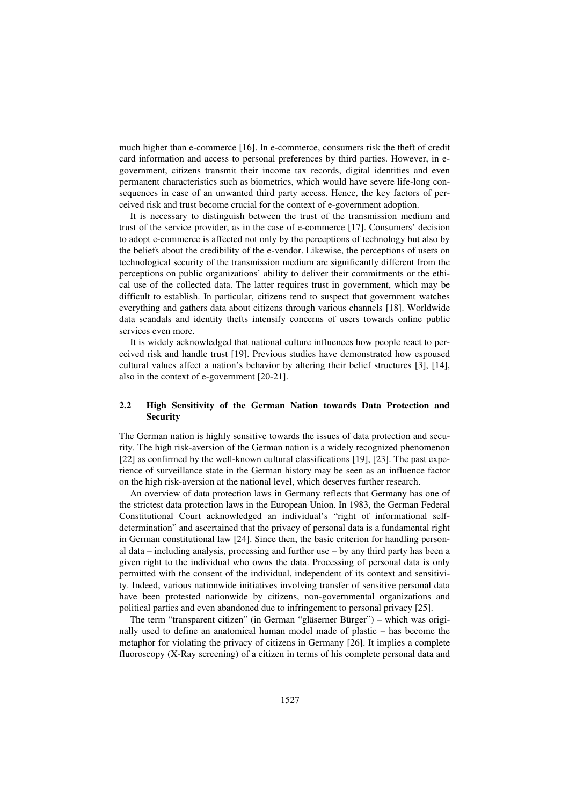much higher than e-commerce [16]. In e-commerce, consumers risk the theft of credit card information and access to personal preferences by third parties. However, in egovernment, citizens transmit their income tax records, digital identities and even permanent characteristics such as biometrics, which would have severe life-long consequences in case of an unwanted third party access. Hence, the key factors of perceived risk and trust become crucial for the context of e-government adoption.

It is necessary to distinguish between the trust of the transmission medium and trust of the service provider, as in the case of e-commerce [17]. Consumers' decision to adopt e-commerce is affected not only by the perceptions of technology but also by the beliefs about the credibility of the e-vendor. Likewise, the perceptions of users on technological security of the transmission medium are significantly different from the perceptions on public organizations' ability to deliver their commitments or the ethical use of the collected data. The latter requires trust in government, which may be difficult to establish. In particular, citizens tend to suspect that government watches everything and gathers data about citizens through various channels [18]. Worldwide data scandals and identity thefts intensify concerns of users towards online public services even more.

It is widely acknowledged that national culture influences how people react to perceived risk and handle trust [19]. Previous studies have demonstrated how espoused cultural values affect a nation's behavior by altering their belief structures [3], [14], also in the context of e-government [20-21].

#### **2.2 High Sensitivity of the German Nation towards Data Protection and Security**

The German nation is highly sensitive towards the issues of data protection and security. The high risk-aversion of the German nation is a widely recognized phenomenon [22] as confirmed by the well-known cultural classifications [19], [23]. The past experience of surveillance state in the German history may be seen as an influence factor on the high risk-aversion at the national level, which deserves further research.

An overview of data protection laws in Germany reflects that Germany has one of the strictest data protection laws in the European Union. In 1983, the German Federal Constitutional Court acknowledged an individual's "right of informational selfdetermination" and ascertained that the privacy of personal data is a fundamental right in German constitutional law [24]. Since then, the basic criterion for handling personal data – including analysis, processing and further use – by any third party has been a given right to the individual who owns the data. Processing of personal data is only permitted with the consent of the individual, independent of its context and sensitivity. Indeed, various nationwide initiatives involving transfer of sensitive personal data have been protested nationwide by citizens, non-governmental organizations and political parties and even abandoned due to infringement to personal privacy [25].

The term "transparent citizen" (in German "gläserner Bürger") – which was originally used to define an anatomical human model made of plastic – has become the metaphor for violating the privacy of citizens in Germany [26]. It implies a complete fluoroscopy (X-Ray screening) of a citizen in terms of his complete personal data and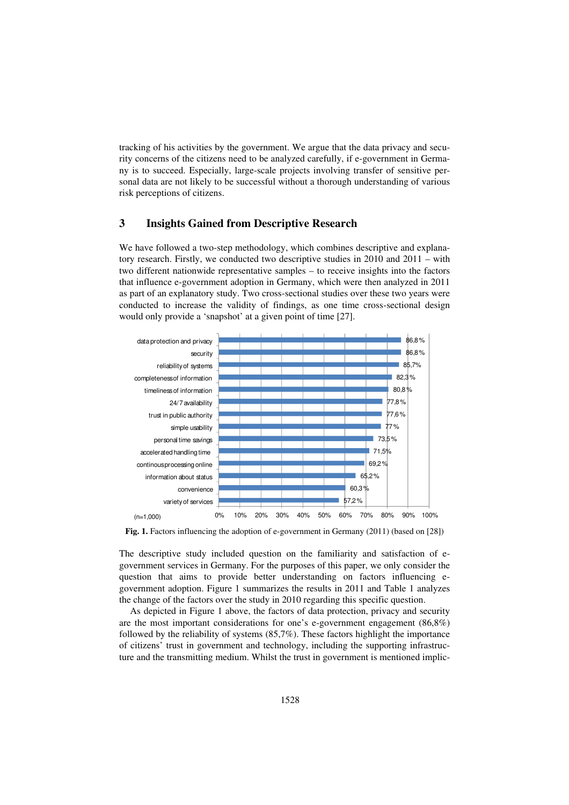tracking of his activities by the government. We argue that the data privacy and security concerns of the citizens need to be analyzed carefully, if e-government in Germany is to succeed. Especially, large-scale projects involving transfer of sensitive personal data are not likely to be successful without a thorough understanding of various risk perceptions of citizens.

## **3 Insights Gained from Descriptive Research**

We have followed a two-step methodology, which combines descriptive and explanatory research. Firstly, we conducted two descriptive studies in 2010 and 2011 – with two different nationwide representative samples – to receive insights into the factors that influence e-government adoption in Germany, which were then analyzed in 2011 as part of an explanatory study. Two cross-sectional studies over these two years were conducted to increase the validity of findings, as one time cross-sectional design would only provide a 'snapshot' at a given point of time [27].



**Fig. 1.** Factors influencing the adoption of e-government in Germany (2011) (based on [28])

The descriptive study included question on the familiarity and satisfaction of egovernment services in Germany. For the purposes of this paper, we only consider the question that aims to provide better understanding on factors influencing egovernment adoption. Figure 1 summarizes the results in 2011 and Table 1 analyzes the change of the factors over the study in 2010 regarding this specific question.

As depicted in Figure 1 above, the factors of data protection, privacy and security are the most important considerations for one's e-government engagement (86,8%) followed by the reliability of systems (85,7%). These factors highlight the importance of citizens' trust in government and technology, including the supporting infrastructure and the transmitting medium. Whilst the trust in government is mentioned implic-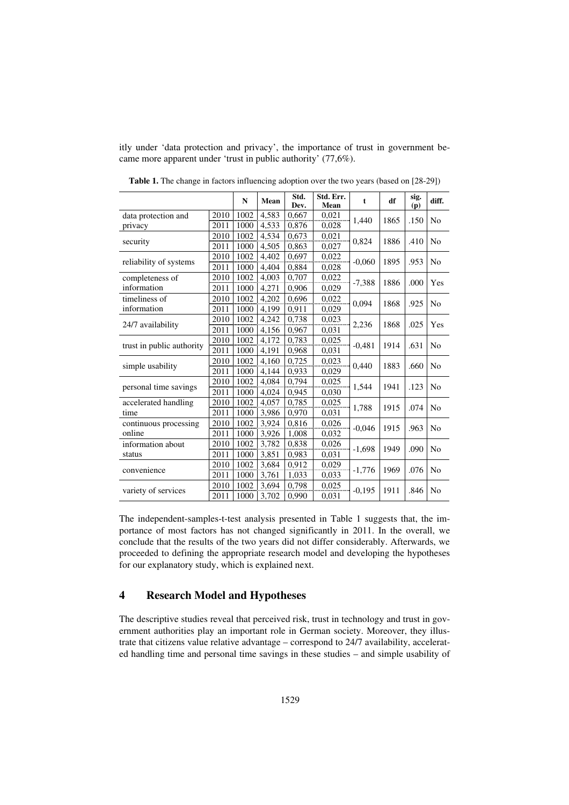itly under 'data protection and privacy', the importance of trust in government became more apparent under 'trust in public authority' (77,6%).

|                           |      | $\mathbf N$ | Mean  | Std.<br>Dev. | Std. Err.<br>Mean | t        | df   | sig.<br>(p) | diff.          |
|---------------------------|------|-------------|-------|--------------|-------------------|----------|------|-------------|----------------|
| data protection and       | 2010 | 1002        | 4.583 | 0,667        | 0.021             | 1,440    | 1865 | .150        | N <sub>0</sub> |
| privacy                   | 2011 | 1000        | 4,533 | 0,876        | 0,028             |          |      |             |                |
| security                  | 2010 | 1002        | 4.534 | 0.673        | 0.021             | 0,824    | 1886 | .410        | N <sub>0</sub> |
|                           | 2011 | 1000        | 4,505 | 0,863        | 0,027             |          |      |             |                |
| reliability of systems    | 2010 | 1002        | 4.402 | 0.697        | 0.022             | $-0,060$ | 1895 | .953        | No             |
|                           | 2011 | 1000        | 4,404 | 0,884        | 0,028             |          |      |             |                |
| completeness of           | 2010 | 1002        | 4.003 | 0,707        | 0.022             |          | 1886 | .000        | Yes            |
| information               | 2011 | 1000        | 4,271 | 0,906        | 0,029             | $-7,388$ |      |             |                |
| timeliness of             | 2010 | 1002        | 4.202 | 0.696        | 0,022             | 0,094    | 1868 | .925        | N <sub>0</sub> |
| information               | 2011 | 1000        | 4,199 | 0,911        | 0,029             |          |      |             |                |
| 24/7 availability         | 2010 | 1002        | 4.242 | 0.738        | 0,023             | 2,236    | 1868 | .025        | Yes            |
|                           | 2011 | 1000        | 4,156 | 0,967        | 0,031             |          |      |             |                |
| trust in public authority | 2010 | 1002        | 4.172 | 0.783        | 0,025             | $-0,481$ | 1914 | .631        | N <sub>0</sub> |
|                           | 2011 | 1000        | 4,191 | 0,968        | 0,031             |          |      |             |                |
| simple usability          | 2010 | 1002        | 4,160 | 0,725        | 0,023             | 0,440    | 1883 | .660        | N <sub>0</sub> |
|                           | 2011 | 1000        | 4,144 | 0,933        | 0,029             |          |      |             |                |
| personal time savings     | 2010 | 1002        | 4,084 | 0,794        | 0,025             | 1,544    | 1941 | .123        | N <sub>0</sub> |
|                           | 2011 | 1000        | 4,024 | 0,945        | 0,030             |          |      |             |                |
| accelerated handling      | 2010 | 1002        | 4,057 | 0,785        | 0,025             | 1,788    | 1915 | .074        | N <sub>0</sub> |
| time                      | 2011 | 1000        | 3,986 | 0,970        | 0,031             |          |      |             |                |
| continuous processing     | 2010 | 1002        | 3,924 | 0,816        | 0,026             | $-0,046$ | 1915 | .963        | N <sub>0</sub> |
| online                    | 2011 | 1000        | 3,926 | 1,008        | 0,032             |          |      |             |                |
| information about         | 2010 | 1002        | 3.782 | 0.838        | 0,026             | $-1,698$ | 1949 | .090        | N <sub>0</sub> |
| status                    | 2011 | 1000        | 3,851 | 0,983        | 0,031             |          |      |             |                |
| convenience               | 2010 | 1002        | 3,684 | 0,912        | 0,029             | $-1,776$ | 1969 | .076        | N <sub>0</sub> |
|                           | 2011 | 1000        | 3,761 | 1,033        | 0,033             |          |      |             |                |
| variety of services       | 2010 | 1002        | 3,694 | 0,798        | 0,025             | $-0,195$ | 1911 | .846        | N <sub>0</sub> |
|                           | 2011 | 1000        | 3,702 | 0,990        | 0,031             |          |      |             |                |

**Table 1.** The change in factors influencing adoption over the two years (based on [28-29])

The independent-samples-t-test analysis presented in Table 1 suggests that, the importance of most factors has not changed significantly in 2011. In the overall, we conclude that the results of the two years did not differ considerably. Afterwards, we proceeded to defining the appropriate research model and developing the hypotheses for our explanatory study, which is explained next.

# **4 Research Model and Hypotheses**

The descriptive studies reveal that perceived risk, trust in technology and trust in government authorities play an important role in German society. Moreover, they illustrate that citizens value relative advantage – correspond to 24/7 availability, accelerated handling time and personal time savings in these studies – and simple usability of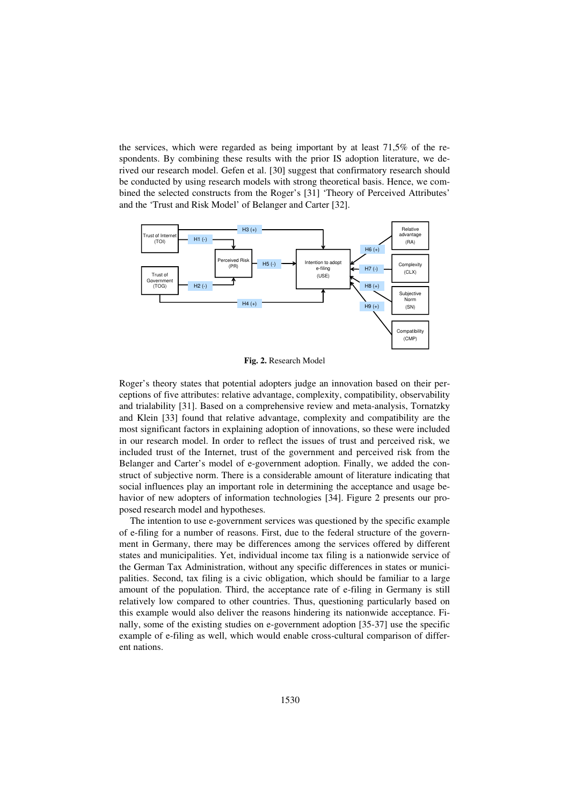the services, which were regarded as being important by at least 71,5% of the respondents. By combining these results with the prior IS adoption literature, we derived our research model. Gefen et al. [30] suggest that confirmatory research should be conducted by using research models with strong theoretical basis. Hence, we combined the selected constructs from the Roger's [31] 'Theory of Perceived Attributes' and the 'Trust and Risk Model' of Belanger and Carter [32].



**Fig. 2.** Research Model

Roger's theory states that potential adopters judge an innovation based on their perceptions of five attributes: relative advantage, complexity, compatibility, observability and trialability [31]. Based on a comprehensive review and meta-analysis, Tornatzky and Klein [33] found that relative advantage, complexity and compatibility are the most significant factors in explaining adoption of innovations, so these were included in our research model. In order to reflect the issues of trust and perceived risk, we included trust of the Internet, trust of the government and perceived risk from the Belanger and Carter's model of e-government adoption. Finally, we added the construct of subjective norm. There is a considerable amount of literature indicating that social influences play an important role in determining the acceptance and usage behavior of new adopters of information technologies [34]. Figure 2 presents our proposed research model and hypotheses.

The intention to use e-government services was questioned by the specific example of e-filing for a number of reasons. First, due to the federal structure of the government in Germany, there may be differences among the services offered by different states and municipalities. Yet, individual income tax filing is a nationwide service of the German Tax Administration, without any specific differences in states or municipalities. Second, tax filing is a civic obligation, which should be familiar to a large amount of the population. Third, the acceptance rate of e-filing in Germany is still relatively low compared to other countries. Thus, questioning particularly based on this example would also deliver the reasons hindering its nationwide acceptance. Finally, some of the existing studies on e-government adoption [35-37] use the specific example of e-filing as well, which would enable cross-cultural comparison of different nations.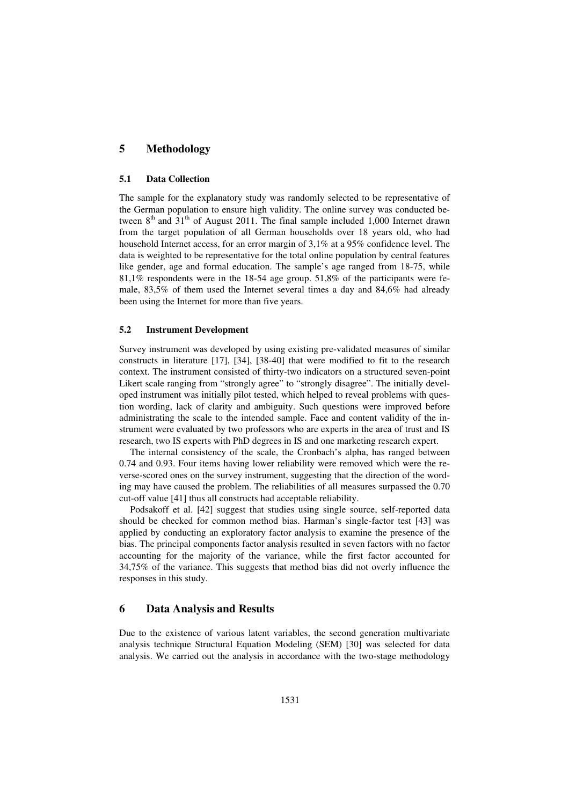# **5 Methodology**

#### **5.1 Data Collection**

The sample for the explanatory study was randomly selected to be representative of the German population to ensure high validity. The online survey was conducted between  $8<sup>th</sup>$  and  $31<sup>th</sup>$  of August 2011. The final sample included 1,000 Internet drawn from the target population of all German households over 18 years old, who had household Internet access, for an error margin of 3,1% at a 95% confidence level. The data is weighted to be representative for the total online population by central features like gender, age and formal education. The sample's age ranged from 18-75, while 81,1% respondents were in the 18-54 age group. 51,8% of the participants were female, 83,5% of them used the Internet several times a day and 84,6% had already been using the Internet for more than five years.

#### **5.2 Instrument Development**

Survey instrument was developed by using existing pre-validated measures of similar constructs in literature [17], [34], [38-40] that were modified to fit to the research context. The instrument consisted of thirty-two indicators on a structured seven-point Likert scale ranging from "strongly agree" to "strongly disagree". The initially developed instrument was initially pilot tested, which helped to reveal problems with question wording, lack of clarity and ambiguity. Such questions were improved before administrating the scale to the intended sample. Face and content validity of the instrument were evaluated by two professors who are experts in the area of trust and IS research, two IS experts with PhD degrees in IS and one marketing research expert.

The internal consistency of the scale, the Cronbach's alpha, has ranged between 0.74 and 0.93. Four items having lower reliability were removed which were the reverse-scored ones on the survey instrument, suggesting that the direction of the wording may have caused the problem. The reliabilities of all measures surpassed the 0.70 cut-off value [41] thus all constructs had acceptable reliability.

Podsakoff et al. [42] suggest that studies using single source, self-reported data should be checked for common method bias. Harman's single-factor test [43] was applied by conducting an exploratory factor analysis to examine the presence of the bias. The principal components factor analysis resulted in seven factors with no factor accounting for the majority of the variance, while the first factor accounted for 34,75% of the variance. This suggests that method bias did not overly influence the responses in this study.

### **6 Data Analysis and Results**

Due to the existence of various latent variables, the second generation multivariate analysis technique Structural Equation Modeling (SEM) [30] was selected for data analysis. We carried out the analysis in accordance with the two-stage methodology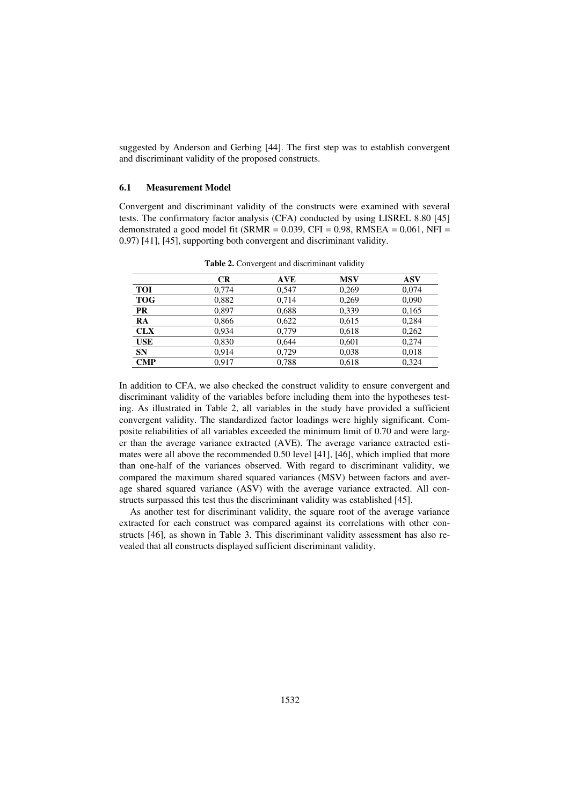suggested by Anderson and Gerbing [44]. The first step was to establish convergent and discriminant validity of the proposed constructs.

#### **6.1 Measurement Model**

Convergent and discriminant validity of the constructs were examined with several tests. The confirmatory factor analysis (CFA) conducted by using LISREL 8.80 [45] demonstrated a good model fit (SRMR =  $0.039$ , CFI =  $0.98$ , RMSEA =  $0.061$ , NFI = 0.97) [41], [45], supporting both convergent and discriminant validity.

|            | CR    | <b>AVE</b> | <b>MSV</b> | ASV   |
|------------|-------|------------|------------|-------|
| <b>TOI</b> | 0,774 | 0,547      | 0,269      | 0,074 |
| <b>TOG</b> | 0,882 | 0,714      | 0.269      | 0,090 |
| <b>PR</b>  | 0.897 | 0,688      | 0.339      | 0,165 |
| RA         | 0,866 | 0,622      | 0,615      | 0,284 |
| <b>CLX</b> | 0.934 | 0,779      | 0,618      | 0,262 |
| <b>USE</b> | 0,830 | 0,644      | 0,601      | 0,274 |
| <b>SN</b>  | 0,914 | 0,729      | 0,038      | 0,018 |
| <b>CMP</b> | 0.917 | 0.788      | 0.618      | 0.324 |

**Table 2.** Convergent and discriminant validity

In addition to CFA, we also checked the construct validity to ensure convergent and discriminant validity of the variables before including them into the hypotheses testing. As illustrated in Table 2, all variables in the study have provided a sufficient convergent validity. The standardized factor loadings were highly significant. Composite reliabilities of all variables exceeded the minimum limit of 0.70 and were larger than the average variance extracted (AVE). The average variance extracted estimates were all above the recommended 0.50 level [41], [46], which implied that more than one-half of the variances observed. With regard to discriminant validity, we compared the maximum shared squared variances (MSV) between factors and average shared squared variance (ASV) with the average variance extracted. All constructs surpassed this test thus the discriminant validity was established [45].

As another test for discriminant validity, the square root of the average variance extracted for each construct was compared against its correlations with other constructs [46], as shown in Table 3. This discriminant validity assessment has also revealed that all constructs displayed sufficient discriminant validity.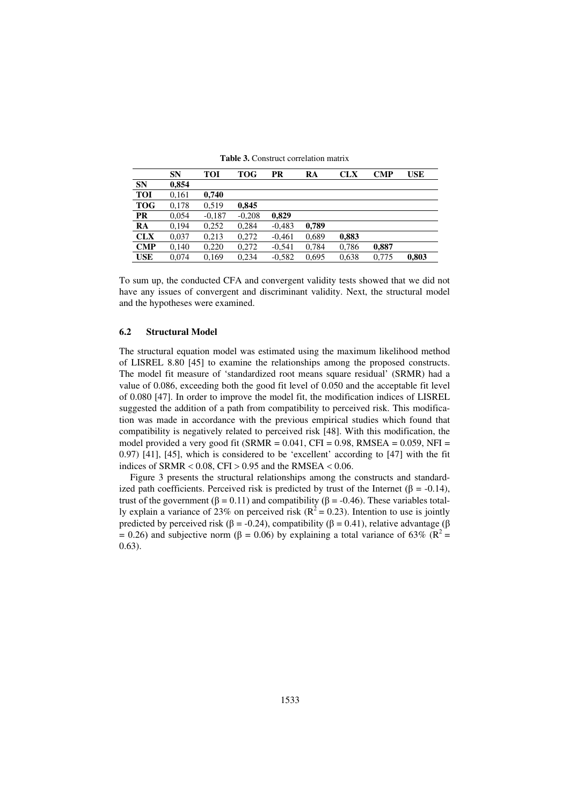|            | <b>SN</b> | <b>TOI</b> | TOG      | PR       | RA    | <b>CLX</b> | <b>CMP</b> | <b>USE</b> |
|------------|-----------|------------|----------|----------|-------|------------|------------|------------|
| <b>SN</b>  | 0,854     |            |          |          |       |            |            |            |
| <b>TOI</b> | 0,161     | 0.740      |          |          |       |            |            |            |
| <b>TOG</b> | 0.178     | 0.519      | 0.845    |          |       |            |            |            |
| PR         | 0.054     | $-0.187$   | $-0,208$ | 0.829    |       |            |            |            |
| RA         | 0.194     | 0,252      | 0.284    | $-0.483$ | 0.789 |            |            |            |
| <b>CLX</b> | 0.037     | 0.213      | 0.272    | $-0.461$ | 0,689 | 0,883      |            |            |
| <b>CMP</b> | 0.140     | 0,220      | 0,272    | $-0.541$ | 0,784 | 0,786      | 0,887      |            |
| <b>USE</b> | 0.074     | 0.169      | 0.234    | $-0.582$ | 0.695 | 0.638      | 0.775      | 0.803      |

**Table 3.** Construct correlation matrix

To sum up, the conducted CFA and convergent validity tests showed that we did not have any issues of convergent and discriminant validity. Next, the structural model and the hypotheses were examined.

#### **6.2 Structural Model**

The structural equation model was estimated using the maximum likelihood method of LISREL 8.80 [45] to examine the relationships among the proposed constructs. The model fit measure of 'standardized root means square residual' (SRMR) had a value of 0.086, exceeding both the good fit level of 0.050 and the acceptable fit level of 0.080 [47]. In order to improve the model fit, the modification indices of LISREL suggested the addition of a path from compatibility to perceived risk. This modification was made in accordance with the previous empirical studies which found that compatibility is negatively related to perceived risk [48]. With this modification, the model provided a very good fit (SRMR =  $0.041$ , CFI =  $0.98$ , RMSEA =  $0.059$ , NFI = 0.97) [41], [45], which is considered to be 'excellent' according to [47] with the fit indices of SRMR  $< 0.08$ , CFI  $> 0.95$  and the RMSEA  $< 0.06$ .

Figure 3 presents the structural relationships among the constructs and standardized path coefficients. Perceived risk is predicted by trust of the Internet ( $\beta$  = -0.14), trust of the government ( $\beta = 0.11$ ) and compatibility ( $\beta = -0.46$ ). These variables totally explain a variance of 23% on perceived risk ( $R^2 = 0.23$ ). Intention to use is jointly predicted by perceived risk ( $\beta$  = -0.24), compatibility ( $\beta$  = 0.41), relative advantage ( $\beta$ = 0.26) and subjective norm ( $\beta$  = 0.06) by explaining a total variance of 63% ( $\mathbb{R}^2$  = 0.63).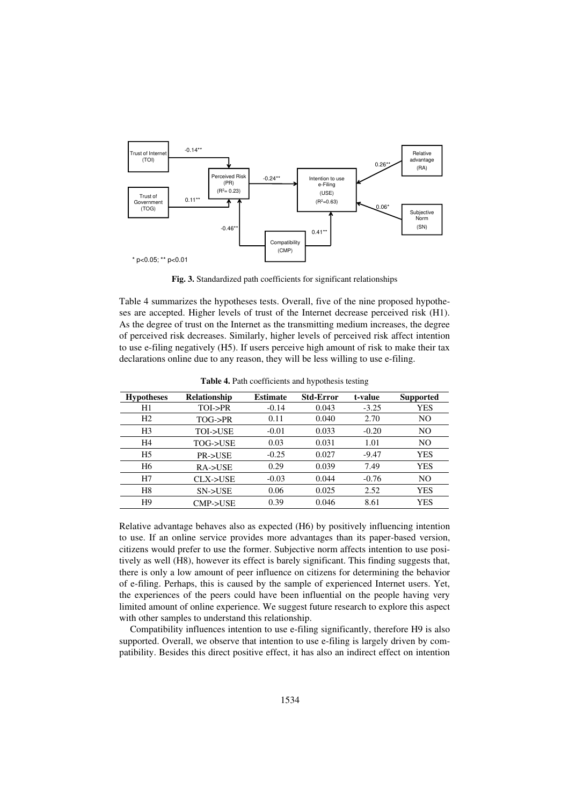

**Fig. 3.** Standardized path coefficients for significant relationships

Table 4 summarizes the hypotheses tests. Overall, five of the nine proposed hypotheses are accepted. Higher levels of trust of the Internet decrease perceived risk (H1). As the degree of trust on the Internet as the transmitting medium increases, the degree of perceived risk decreases. Similarly, higher levels of perceived risk affect intention to use e-filing negatively (H5). If users perceive high amount of risk to make their tax declarations online due to any reason, they will be less willing to use e-filing.

| <b>Hypotheses</b> | <b>Relationship</b> | <b>Estimate</b> | <b>Std-Error</b> | t-value | <b>Supported</b> |
|-------------------|---------------------|-----------------|------------------|---------|------------------|
| H1                | TOI->PR             | $-0.14$         | 0.043            | $-3.25$ | <b>YES</b>       |
| H <sub>2</sub>    | TOG->PR             | 0.11            | 0.040            | 2.70    | N <sub>O</sub>   |
| H <sub>3</sub>    | TOI->USE            | $-0.01$         | 0.033            | $-0.20$ | N <sub>O</sub>   |
| H <sub>4</sub>    | TOG->USE            | 0.03            | 0.031            | 1.01    | N <sub>O</sub>   |
| H <sub>5</sub>    | <b>PR-&gt;USE</b>   | $-0.25$         | 0.027            | $-9.47$ | YES              |
| H6                | $RA$ ->USE          | 0.29            | 0.039            | 7.49    | YES              |
| H7                | CLX->USE            | $-0.03$         | 0.044            | $-0.76$ | N <sub>O</sub>   |
| H8                | SN->USE             | 0.06            | 0.025            | 2.52    | YES              |
| H9                | CMP->USE            | 0.39            | 0.046            | 8.61    | YES              |
|                   |                     |                 |                  |         |                  |

**Table 4.** Path coefficients and hypothesis testing

Relative advantage behaves also as expected (H6) by positively influencing intention to use. If an online service provides more advantages than its paper-based version, citizens would prefer to use the former. Subjective norm affects intention to use positively as well (H8), however its effect is barely significant. This finding suggests that, there is only a low amount of peer influence on citizens for determining the behavior of e-filing. Perhaps, this is caused by the sample of experienced Internet users. Yet, the experiences of the peers could have been influential on the people having very limited amount of online experience. We suggest future research to explore this aspect with other samples to understand this relationship.

Compatibility influences intention to use e-filing significantly, therefore H9 is also supported. Overall, we observe that intention to use e-filing is largely driven by compatibility. Besides this direct positive effect, it has also an indirect effect on intention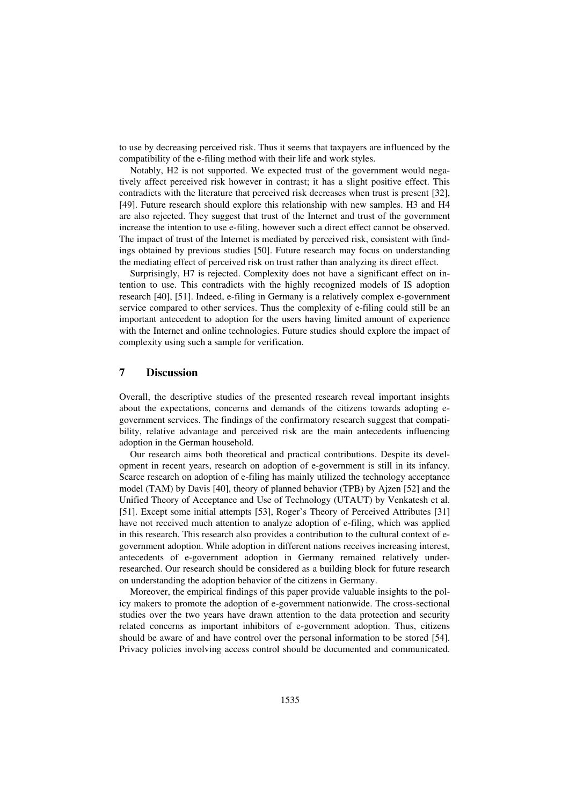to use by decreasing perceived risk. Thus it seems that taxpayers are influenced by the compatibility of the e-filing method with their life and work styles.

Notably, H2 is not supported. We expected trust of the government would negatively affect perceived risk however in contrast; it has a slight positive effect. This contradicts with the literature that perceived risk decreases when trust is present [32], [49]. Future research should explore this relationship with new samples. H3 and H4 are also rejected. They suggest that trust of the Internet and trust of the government increase the intention to use e-filing, however such a direct effect cannot be observed. The impact of trust of the Internet is mediated by perceived risk, consistent with findings obtained by previous studies [50]. Future research may focus on understanding the mediating effect of perceived risk on trust rather than analyzing its direct effect.

Surprisingly, H7 is rejected. Complexity does not have a significant effect on intention to use. This contradicts with the highly recognized models of IS adoption research [40], [51]. Indeed, e-filing in Germany is a relatively complex e-government service compared to other services. Thus the complexity of e-filing could still be an important antecedent to adoption for the users having limited amount of experience with the Internet and online technologies. Future studies should explore the impact of complexity using such a sample for verification.

# **7 Discussion**

Overall, the descriptive studies of the presented research reveal important insights about the expectations, concerns and demands of the citizens towards adopting egovernment services. The findings of the confirmatory research suggest that compatibility, relative advantage and perceived risk are the main antecedents influencing adoption in the German household.

Our research aims both theoretical and practical contributions. Despite its development in recent years, research on adoption of e-government is still in its infancy. Scarce research on adoption of e-filing has mainly utilized the technology acceptance model (TAM) by Davis [40], theory of planned behavior (TPB) by Ajzen [52] and the Unified Theory of Acceptance and Use of Technology (UTAUT) by Venkatesh et al. [51]. Except some initial attempts [53], Roger's Theory of Perceived Attributes [31] have not received much attention to analyze adoption of e-filing, which was applied in this research. This research also provides a contribution to the cultural context of egovernment adoption. While adoption in different nations receives increasing interest, antecedents of e-government adoption in Germany remained relatively underresearched. Our research should be considered as a building block for future research on understanding the adoption behavior of the citizens in Germany.

Moreover, the empirical findings of this paper provide valuable insights to the policy makers to promote the adoption of e-government nationwide. The cross-sectional studies over the two years have drawn attention to the data protection and security related concerns as important inhibitors of e-government adoption. Thus, citizens should be aware of and have control over the personal information to be stored [54]. Privacy policies involving access control should be documented and communicated.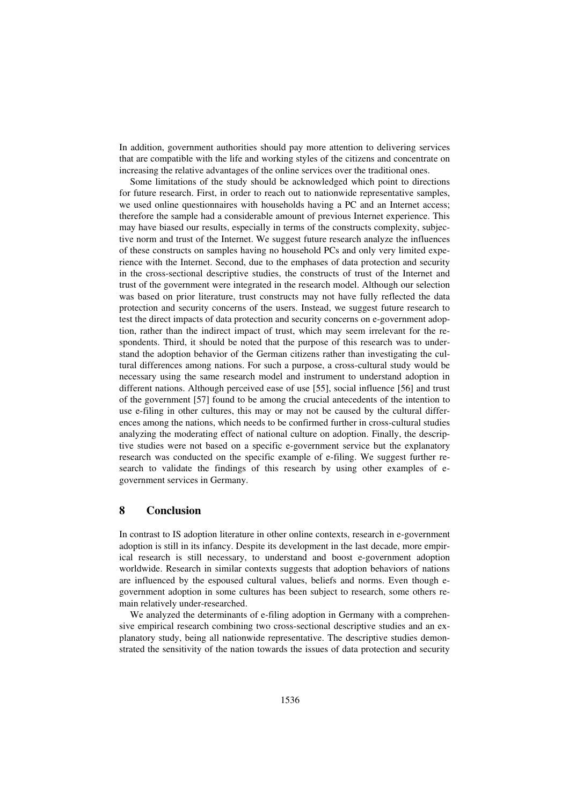In addition, government authorities should pay more attention to delivering services that are compatible with the life and working styles of the citizens and concentrate on increasing the relative advantages of the online services over the traditional ones.

Some limitations of the study should be acknowledged which point to directions for future research. First, in order to reach out to nationwide representative samples, we used online questionnaires with households having a PC and an Internet access; therefore the sample had a considerable amount of previous Internet experience. This may have biased our results, especially in terms of the constructs complexity, subjective norm and trust of the Internet. We suggest future research analyze the influences of these constructs on samples having no household PCs and only very limited experience with the Internet. Second, due to the emphases of data protection and security in the cross-sectional descriptive studies, the constructs of trust of the Internet and trust of the government were integrated in the research model. Although our selection was based on prior literature, trust constructs may not have fully reflected the data protection and security concerns of the users. Instead, we suggest future research to test the direct impacts of data protection and security concerns on e-government adoption, rather than the indirect impact of trust, which may seem irrelevant for the respondents. Third, it should be noted that the purpose of this research was to understand the adoption behavior of the German citizens rather than investigating the cultural differences among nations. For such a purpose, a cross-cultural study would be necessary using the same research model and instrument to understand adoption in different nations. Although perceived ease of use [55], social influence [56] and trust of the government [57] found to be among the crucial antecedents of the intention to use e-filing in other cultures, this may or may not be caused by the cultural differences among the nations, which needs to be confirmed further in cross-cultural studies analyzing the moderating effect of national culture on adoption. Finally, the descriptive studies were not based on a specific e-government service but the explanatory research was conducted on the specific example of e-filing. We suggest further research to validate the findings of this research by using other examples of egovernment services in Germany.

# **8 Conclusion**

In contrast to IS adoption literature in other online contexts, research in e-government adoption is still in its infancy. Despite its development in the last decade, more empirical research is still necessary, to understand and boost e-government adoption worldwide. Research in similar contexts suggests that adoption behaviors of nations are influenced by the espoused cultural values, beliefs and norms. Even though egovernment adoption in some cultures has been subject to research, some others remain relatively under-researched.

We analyzed the determinants of e-filing adoption in Germany with a comprehensive empirical research combining two cross-sectional descriptive studies and an explanatory study, being all nationwide representative. The descriptive studies demonstrated the sensitivity of the nation towards the issues of data protection and security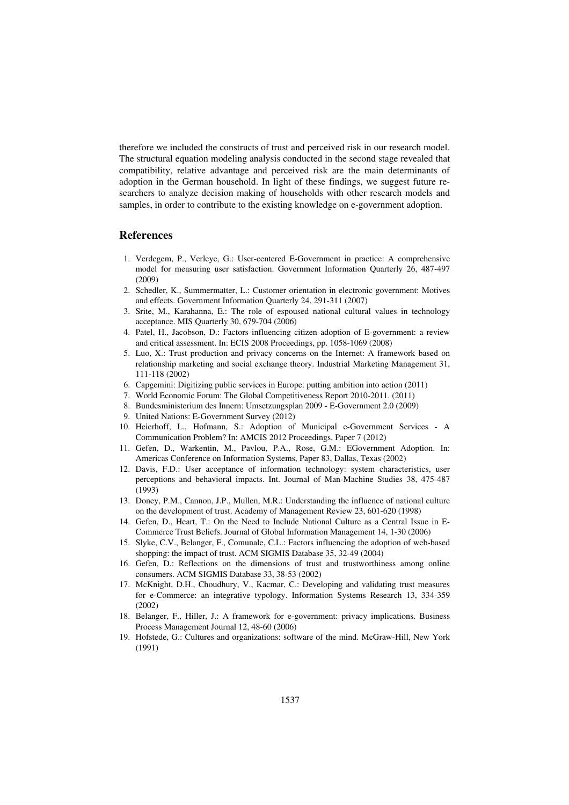therefore we included the constructs of trust and perceived risk in our research model. The structural equation modeling analysis conducted in the second stage revealed that compatibility, relative advantage and perceived risk are the main determinants of adoption in the German household. In light of these findings, we suggest future researchers to analyze decision making of households with other research models and samples, in order to contribute to the existing knowledge on e-government adoption.

## **References**

- 1. Verdegem, P., Verleye, G.: User-centered E-Government in practice: A comprehensive model for measuring user satisfaction. Government Information Quarterly 26, 487-497 (2009)
- 2. Schedler, K., Summermatter, L.: Customer orientation in electronic government: Motives and effects. Government Information Quarterly 24, 291-311 (2007)
- 3. Srite, M., Karahanna, E.: The role of espoused national cultural values in technology acceptance. MIS Quarterly 30, 679-704 (2006)
- 4. Patel, H., Jacobson, D.: Factors influencing citizen adoption of E-government: a review and critical assessment. In: ECIS 2008 Proceedings, pp. 1058-1069 (2008)
- 5. Luo, X.: Trust production and privacy concerns on the Internet: A framework based on relationship marketing and social exchange theory. Industrial Marketing Management 31, 111-118 (2002)
- 6. Capgemini: Digitizing public services in Europe: putting ambition into action (2011)
- 7. World Economic Forum: The Global Competitiveness Report 2010-2011. (2011)
- 8. Bundesministerium des Innern: Umsetzungsplan 2009 E-Government 2.0 (2009)
- 9. United Nations: E-Government Survey (2012)
- 10. Heierhoff, L., Hofmann, S.: Adoption of Municipal e-Government Services A Communication Problem? In: AMCIS 2012 Proceedings, Paper 7 (2012)
- 11. Gefen, D., Warkentin, M., Pavlou, P.A., Rose, G.M.: EGovernment Adoption. In: Americas Conference on Information Systems, Paper 83, Dallas, Texas (2002)
- 12. Davis, F.D.: User acceptance of information technology: system characteristics, user perceptions and behavioral impacts. Int. Journal of Man-Machine Studies 38, 475-487 (1993)
- 13. Doney, P.M., Cannon, J.P., Mullen, M.R.: Understanding the influence of national culture on the development of trust. Academy of Management Review 23, 601-620 (1998)
- 14. Gefen, D., Heart, T.: On the Need to Include National Culture as a Central Issue in E-Commerce Trust Beliefs. Journal of Global Information Management 14, 1-30 (2006)
- 15. Slyke, C.V., Belanger, F., Comunale, C.L.: Factors influencing the adoption of web-based shopping: the impact of trust. ACM SIGMIS Database 35, 32-49 (2004)
- 16. Gefen, D.: Reflections on the dimensions of trust and trustworthiness among online consumers. ACM SIGMIS Database 33, 38-53 (2002)
- 17. McKnight, D.H., Choudhury, V., Kacmar, C.: Developing and validating trust measures for e-Commerce: an integrative typology. Information Systems Research 13, 334-359 (2002)
- 18. Belanger, F., Hiller, J.: A framework for e-government: privacy implications. Business Process Management Journal 12, 48-60 (2006)
- 19. Hofstede, G.: Cultures and organizations: software of the mind. McGraw-Hill, New York (1991)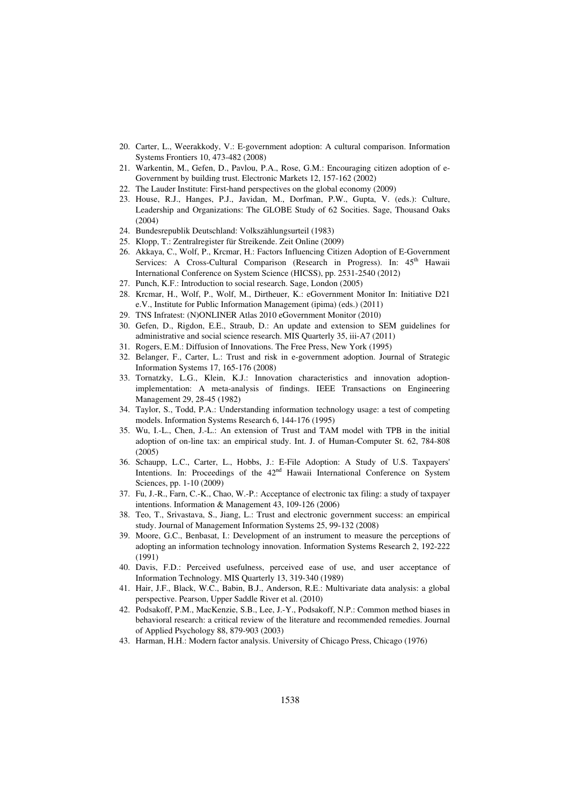- 20. Carter, L., Weerakkody, V.: E-government adoption: A cultural comparison. Information Systems Frontiers 10, 473-482 (2008)
- 21. Warkentin, M., Gefen, D., Pavlou, P.A., Rose, G.M.: Encouraging citizen adoption of e-Government by building trust. Electronic Markets 12, 157-162 (2002)
- 22. The Lauder Institute: First-hand perspectives on the global economy (2009)
- 23. House, R.J., Hanges, P.J., Javidan, M., Dorfman, P.W., Gupta, V. (eds.): Culture, Leadership and Organizations: The GLOBE Study of 62 Socities. Sage, Thousand Oaks (2004)
- 24. Bundesrepublik Deutschland: Volkszählungsurteil (1983)
- 25. Klopp, T.: Zentralregister für Streikende. Zeit Online (2009)
- 26. Akkaya, C., Wolf, P., Krcmar, H.: Factors Influencing Citizen Adoption of E-Government Services: A Cross-Cultural Comparison (Research in Progress). In: 45<sup>th</sup> Hawaii International Conference on System Science (HICSS), pp. 2531-2540 (2012)
- 27. Punch, K.F.: Introduction to social research. Sage, London (2005)
- 28. Krcmar, H., Wolf, P., Wolf, M., Dirtheuer, K.: eGovernment Monitor In: Initiative D21 e.V., Institute for Public Information Management (ipima) (eds.) (2011)
- 29. TNS Infratest: (N)ONLINER Atlas 2010 eGovernment Monitor (2010)
- 30. Gefen, D., Rigdon, E.E., Straub, D.: An update and extension to SEM guidelines for administrative and social science research. MIS Quarterly 35, iii-A7 (2011)
- 31. Rogers, E.M.: Diffusion of Innovations. The Free Press, New York (1995)
- 32. Belanger, F., Carter, L.: Trust and risk in e-government adoption. Journal of Strategic Information Systems 17, 165-176 (2008)
- 33. Tornatzky, L.G., Klein, K.J.: Innovation characteristics and innovation adoptionimplementation: A meta-analysis of findings. IEEE Transactions on Engineering Management 29, 28-45 (1982)
- 34. Taylor, S., Todd, P.A.: Understanding information technology usage: a test of competing models. Information Systems Research 6, 144-176 (1995)
- 35. Wu, I.-L., Chen, J.-L.: An extension of Trust and TAM model with TPB in the initial adoption of on-line tax: an empirical study. Int. J. of Human-Computer St. 62, 784-808 (2005)
- 36. Schaupp, L.C., Carter, L., Hobbs, J.: E-File Adoption: A Study of U.S. Taxpayers' Intentions. In: Proceedings of the 42<sup>nd</sup> Hawaii International Conference on System Sciences, pp. 1-10 (2009)
- 37. Fu, J.-R., Farn, C.-K., Chao, W.-P.: Acceptance of electronic tax filing: a study of taxpayer intentions. Information & Management 43, 109-126 (2006)
- 38. Teo, T., Srivastava, S., Jiang, L.: Trust and electronic government success: an empirical study. Journal of Management Information Systems 25, 99-132 (2008)
- 39. Moore, G.C., Benbasat, I.: Development of an instrument to measure the perceptions of adopting an information technology innovation. Information Systems Research 2, 192-222 (1991)
- 40. Davis, F.D.: Perceived usefulness, perceived ease of use, and user acceptance of Information Technology. MIS Quarterly 13, 319-340 (1989)
- 41. Hair, J.F., Black, W.C., Babin, B.J., Anderson, R.E.: Multivariate data analysis: a global perspective. Pearson, Upper Saddle River et al. (2010)
- 42. Podsakoff, P.M., MacKenzie, S.B., Lee, J.-Y., Podsakoff, N.P.: Common method biases in behavioral research: a critical review of the literature and recommended remedies. Journal of Applied Psychology 88, 879-903 (2003)
- 43. Harman, H.H.: Modern factor analysis. University of Chicago Press, Chicago (1976)